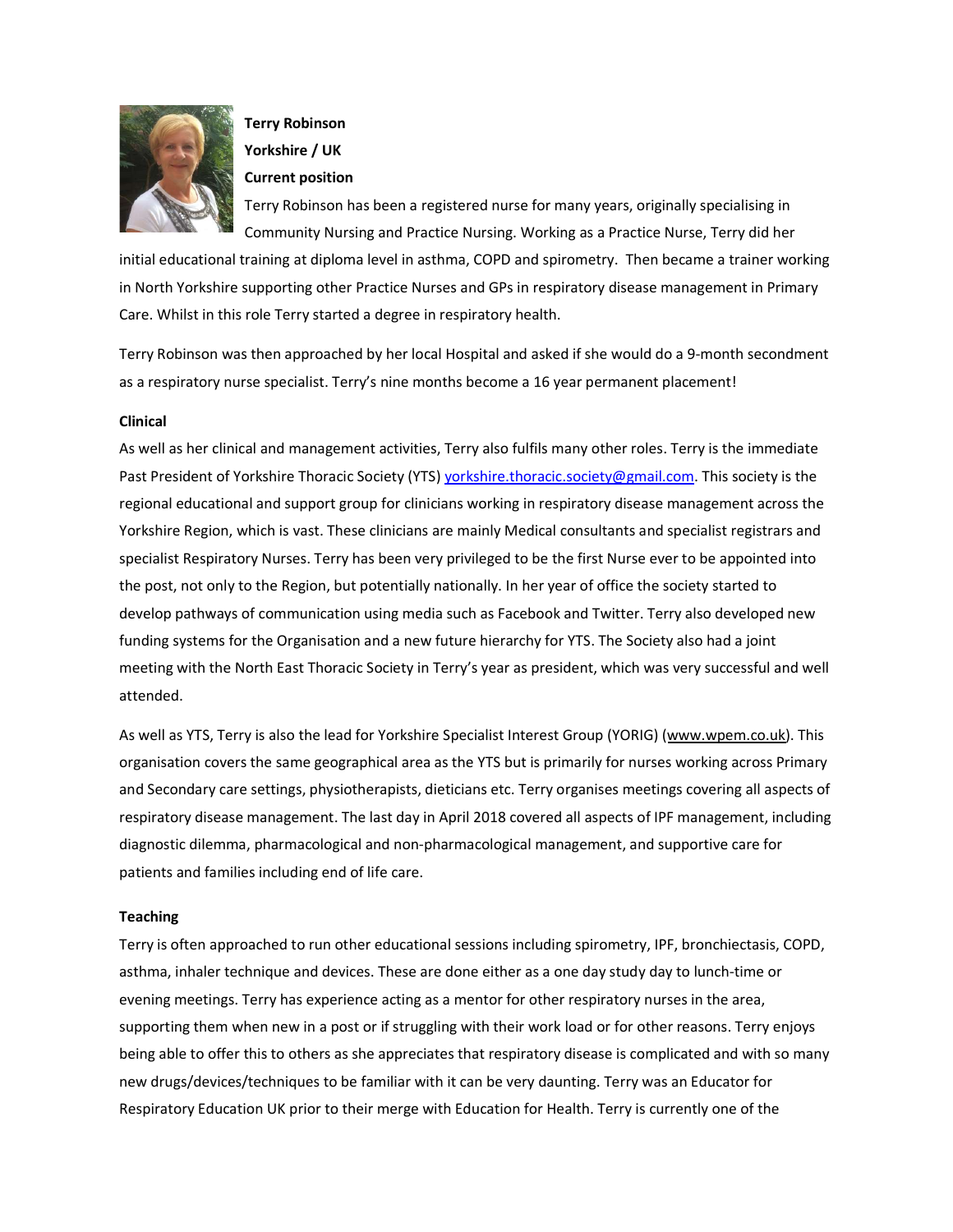

# Terry Robinson Yorkshire / UK

#### Current position

Terry Robinson has been a registered nurse for many years, originally specialising in Community Nursing and Practice Nursing. Working as a Practice Nurse, Terry did her

initial educational training at diploma level in asthma, COPD and spirometry. Then became a trainer working in North Yorkshire supporting other Practice Nurses and GPs in respiratory disease management in Primary Care. Whilst in this role Terry started a degree in respiratory health.

Terry Robinson was then approached by her local Hospital and asked if she would do a 9-month secondment as a respiratory nurse specialist. Terry's nine months become a 16 year permanent placement!

## Clinical

As well as her clinical and management activities, Terry also fulfils many other roles. Terry is the immediate Past President of Yorkshire Thoracic Society (YTS) yorkshire.thoracic.society@gmail.com. This society is the regional educational and support group for clinicians working in respiratory disease management across the Yorkshire Region, which is vast. These clinicians are mainly Medical consultants and specialist registrars and specialist Respiratory Nurses. Terry has been very privileged to be the first Nurse ever to be appointed into the post, not only to the Region, but potentially nationally. In her year of office the society started to develop pathways of communication using media such as Facebook and Twitter. Terry also developed new funding systems for the Organisation and a new future hierarchy for YTS. The Society also had a joint meeting with the North East Thoracic Society in Terry's year as president, which was very successful and well attended.

As well as YTS, Terry is also the lead for Yorkshire Specialist Interest Group (YORIG) (www.wpem.co.uk). This organisation covers the same geographical area as the YTS but is primarily for nurses working across Primary and Secondary care settings, physiotherapists, dieticians etc. Terry organises meetings covering all aspects of respiratory disease management. The last day in April 2018 covered all aspects of IPF management, including diagnostic dilemma, pharmacological and non-pharmacological management, and supportive care for patients and families including end of life care.

#### **Teaching**

Terry is often approached to run other educational sessions including spirometry, IPF, bronchiectasis, COPD, asthma, inhaler technique and devices. These are done either as a one day study day to lunch-time or evening meetings. Terry has experience acting as a mentor for other respiratory nurses in the area, supporting them when new in a post or if struggling with their work load or for other reasons. Terry enjoys being able to offer this to others as she appreciates that respiratory disease is complicated and with so many new drugs/devices/techniques to be familiar with it can be very daunting. Terry was an Educator for Respiratory Education UK prior to their merge with Education for Health. Terry is currently one of the